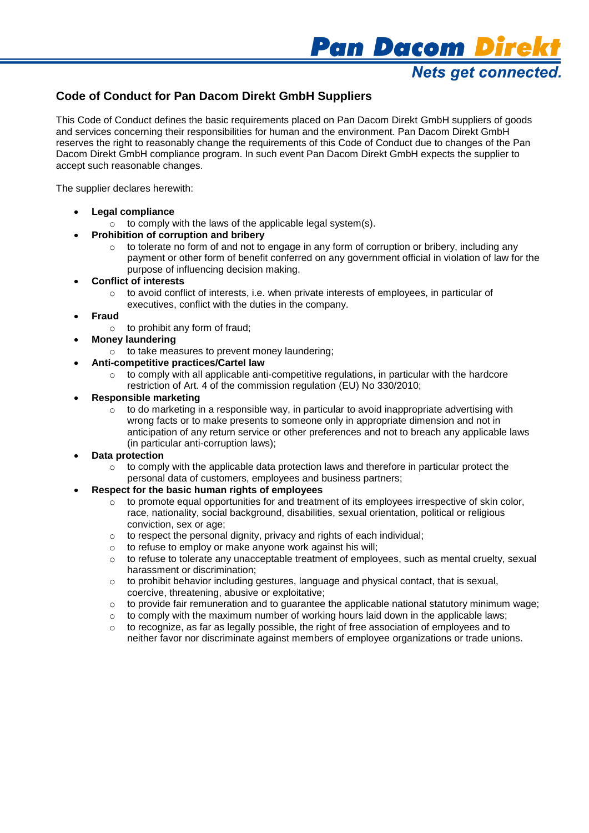

# **Code of Conduct for Pan Dacom Direkt GmbH Suppliers**

This Code of Conduct defines the basic requirements placed on Pan Dacom Direkt GmbH suppliers of goods and services concerning their responsibilities for human and the environment. Pan Dacom Direkt GmbH reserves the right to reasonably change the requirements of this Code of Conduct due to changes of the Pan Dacom Direkt GmbH compliance program. In such event Pan Dacom Direkt GmbH expects the supplier to accept such reasonable changes.

The supplier declares herewith:

- **Legal compliance**
	- $\circ$  to comply with the laws of the applicable legal system(s).

## **Prohibition of corruption and bribery**

 $\circ$  to tolerate no form of and not to engage in any form of corruption or bribery, including any payment or other form of benefit conferred on any government official in violation of law for the purpose of influencing decision making.

## **Conflict of interests**

- $\circ$  to avoid conflict of interests, i.e. when private interests of employees, in particular of executives, conflict with the duties in the company.
- **Fraud**
	- $\circ$  to prohibit any form of fraud:
- **Money laundering**
	- o to take measures to prevent money laundering;

# **Anti-competitive practices/Cartel law**

 $\circ$  to comply with all applicable anti-competitive regulations, in particular with the hardcore restriction of Art. 4 of the commission regulation (EU) No 330/2010;

## **Responsible marketing**

 $\circ$  to do marketing in a responsible way, in particular to avoid inappropriate advertising with wrong facts or to make presents to someone only in appropriate dimension and not in anticipation of any return service or other preferences and not to breach any applicable laws (in particular anti-corruption laws);

#### **Data protection**

 $\circ$  to comply with the applicable data protection laws and therefore in particular protect the personal data of customers, employees and business partners;

#### **Respect for the basic human rights of employees**

- $\circ$  to promote equal opportunities for and treatment of its employees irrespective of skin color, race, nationality, social background, disabilities, sexual orientation, political or religious conviction, sex or age;
- $\circ$  to respect the personal dignity, privacy and rights of each individual;
- o to refuse to employ or make anyone work against his will;
- o to refuse to tolerate any unacceptable treatment of employees, such as mental cruelty, sexual harassment or discrimination;
- o to prohibit behavior including gestures, language and physical contact, that is sexual, coercive, threatening, abusive or exploitative;
- $\circ$  to provide fair remuneration and to quarantee the applicable national statutory minimum wage;
- $\circ$  to comply with the maximum number of working hours laid down in the applicable laws:
- to recognize, as far as legally possible, the right of free association of employees and to neither favor nor discriminate against members of employee organizations or trade unions.